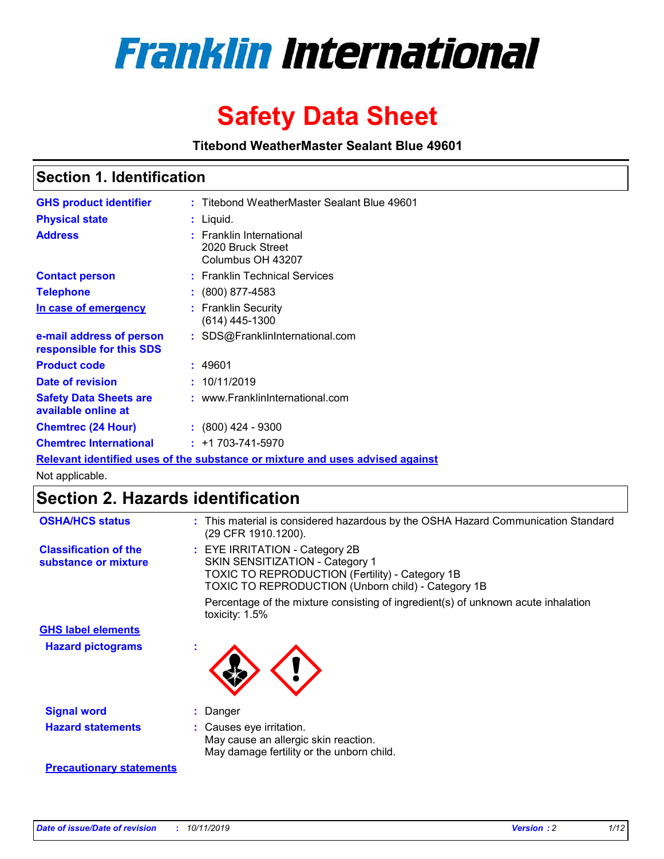

# **Safety Data Sheet**

**Titebond WeatherMaster Sealant Blue 49601**

### **Section 1. Identification**

| <b>GHS product identifier</b>                                                 |  | : Titebond WeatherMaster Sealant Blue 49601                        |  |  |  |
|-------------------------------------------------------------------------------|--|--------------------------------------------------------------------|--|--|--|
| <b>Physical state</b>                                                         |  | : Liquid.                                                          |  |  |  |
| <b>Address</b>                                                                |  | : Franklin International<br>2020 Bruck Street<br>Columbus OH 43207 |  |  |  |
| <b>Contact person</b>                                                         |  | : Franklin Technical Services                                      |  |  |  |
| <b>Telephone</b>                                                              |  | $\colon$ (800) 877-4583                                            |  |  |  |
| In case of emergency                                                          |  | : Franklin Security<br>(614) 445-1300                              |  |  |  |
| e-mail address of person<br>responsible for this SDS                          |  | : SDS@FranklinInternational.com                                    |  |  |  |
| <b>Product code</b>                                                           |  | : 49601                                                            |  |  |  |
| Date of revision                                                              |  | : 10/11/2019                                                       |  |  |  |
| <b>Safety Data Sheets are</b><br>available online at                          |  | : www.FranklinInternational.com                                    |  |  |  |
| <b>Chemtrec (24 Hour)</b>                                                     |  | $: (800)$ 424 - 9300                                               |  |  |  |
| <b>Chemtrec International</b>                                                 |  | $: +1703 - 741 - 5970$                                             |  |  |  |
| Relevant identified uses of the substance or mixture and uses advised against |  |                                                                    |  |  |  |

Not applicable.

## **Section 2. Hazards identification**

| <b>OSHA/HCS status</b>                               | : This material is considered hazardous by the OSHA Hazard Communication Standard<br>(29 CFR 1910.1200).                                                                                 |
|------------------------------------------------------|------------------------------------------------------------------------------------------------------------------------------------------------------------------------------------------|
| <b>Classification of the</b><br>substance or mixture | : EYE IRRITATION - Category 2B<br>SKIN SENSITIZATION - Category 1<br><b>TOXIC TO REPRODUCTION (Fertility) - Category 1B</b><br><b>TOXIC TO REPRODUCTION (Unborn child) - Category 1B</b> |
|                                                      | Percentage of the mixture consisting of ingredient(s) of unknown acute inhalation<br>toxicity: $1.5\%$                                                                                   |
| <b>GHS label elements</b>                            |                                                                                                                                                                                          |
| <b>Hazard pictograms</b>                             |                                                                                                                                                                                          |
| <b>Signal word</b>                                   | : Danger                                                                                                                                                                                 |
| <b>Hazard statements</b>                             | : Causes eye irritation.<br>May cause an allergic skin reaction.<br>May damage fertility or the unborn child.                                                                            |
| <b>Precautionary statements</b>                      |                                                                                                                                                                                          |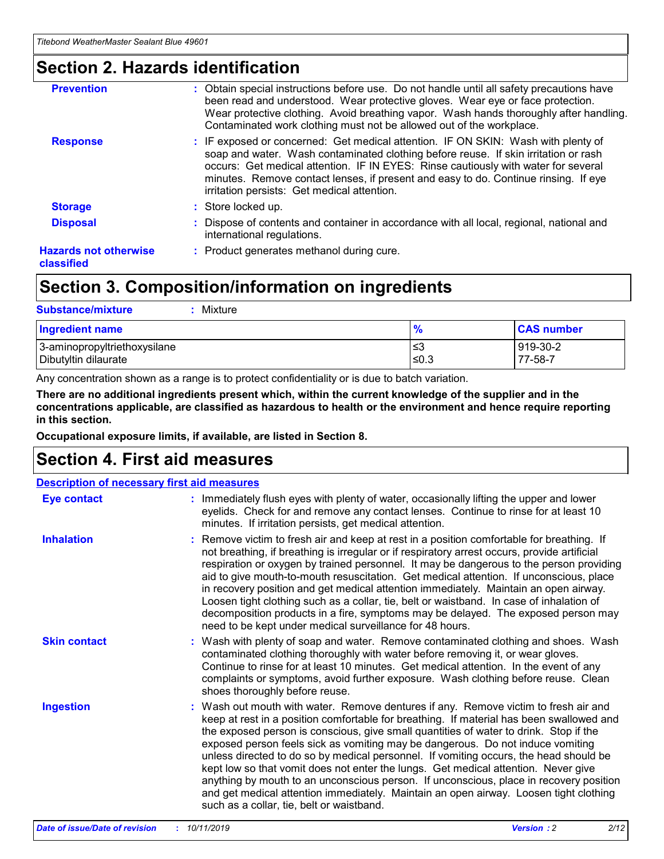### **Section 2. Hazards identification**

| <b>Prevention</b>                          | : Obtain special instructions before use. Do not handle until all safety precautions have<br>been read and understood. Wear protective gloves. Wear eye or face protection.<br>Wear protective clothing. Avoid breathing vapor. Wash hands thoroughly after handling.<br>Contaminated work clothing must not be allowed out of the workplace.                                                        |
|--------------------------------------------|------------------------------------------------------------------------------------------------------------------------------------------------------------------------------------------------------------------------------------------------------------------------------------------------------------------------------------------------------------------------------------------------------|
| <b>Response</b>                            | : IF exposed or concerned: Get medical attention. IF ON SKIN: Wash with plenty of<br>soap and water. Wash contaminated clothing before reuse. If skin irritation or rash<br>occurs: Get medical attention. IF IN EYES: Rinse cautiously with water for several<br>minutes. Remove contact lenses, if present and easy to do. Continue rinsing. If eye<br>irritation persists: Get medical attention. |
| <b>Storage</b>                             | : Store locked up.                                                                                                                                                                                                                                                                                                                                                                                   |
| <b>Disposal</b>                            | : Dispose of contents and container in accordance with all local, regional, national and<br>international regulations.                                                                                                                                                                                                                                                                               |
| <b>Hazards not otherwise</b><br>classified | : Product generates methanol during cure.                                                                                                                                                                                                                                                                                                                                                            |
|                                            |                                                                                                                                                                                                                                                                                                                                                                                                      |

### **Section 3. Composition/information on ingredients**

| <b>Substance/mixture</b><br>Mixture                  |               |                     |
|------------------------------------------------------|---------------|---------------------|
| <b>Ingredient name</b>                               | $\frac{9}{6}$ | <b>CAS number</b>   |
| 3-aminopropyltriethoxysilane<br>Dibutyltin dilaurate | ≤3<br>$≤0.3$  | 919-30-2<br>77-58-7 |

Any concentration shown as a range is to protect confidentiality or is due to batch variation.

**There are no additional ingredients present which, within the current knowledge of the supplier and in the concentrations applicable, are classified as hazardous to health or the environment and hence require reporting in this section.**

**Occupational exposure limits, if available, are listed in Section 8.**

### **Section 4. First aid measures**

| <b>Description of necessary first aid measures</b> |                                                                                                                                                                                                                                                                                                                                                                                                                                                                                                                                                                                                                                                                                                                                                                           |  |  |  |
|----------------------------------------------------|---------------------------------------------------------------------------------------------------------------------------------------------------------------------------------------------------------------------------------------------------------------------------------------------------------------------------------------------------------------------------------------------------------------------------------------------------------------------------------------------------------------------------------------------------------------------------------------------------------------------------------------------------------------------------------------------------------------------------------------------------------------------------|--|--|--|
| <b>Eye contact</b>                                 | : Immediately flush eyes with plenty of water, occasionally lifting the upper and lower<br>eyelids. Check for and remove any contact lenses. Continue to rinse for at least 10<br>minutes. If irritation persists, get medical attention.                                                                                                                                                                                                                                                                                                                                                                                                                                                                                                                                 |  |  |  |
| <b>Inhalation</b>                                  | : Remove victim to fresh air and keep at rest in a position comfortable for breathing. If<br>not breathing, if breathing is irregular or if respiratory arrest occurs, provide artificial<br>respiration or oxygen by trained personnel. It may be dangerous to the person providing<br>aid to give mouth-to-mouth resuscitation. Get medical attention. If unconscious, place<br>in recovery position and get medical attention immediately. Maintain an open airway.<br>Loosen tight clothing such as a collar, tie, belt or waistband. In case of inhalation of<br>decomposition products in a fire, symptoms may be delayed. The exposed person may<br>need to be kept under medical surveillance for 48 hours.                                                       |  |  |  |
| <b>Skin contact</b>                                | : Wash with plenty of soap and water. Remove contaminated clothing and shoes. Wash<br>contaminated clothing thoroughly with water before removing it, or wear gloves.<br>Continue to rinse for at least 10 minutes. Get medical attention. In the event of any<br>complaints or symptoms, avoid further exposure. Wash clothing before reuse. Clean<br>shoes thoroughly before reuse.                                                                                                                                                                                                                                                                                                                                                                                     |  |  |  |
| <b>Ingestion</b>                                   | : Wash out mouth with water. Remove dentures if any. Remove victim to fresh air and<br>keep at rest in a position comfortable for breathing. If material has been swallowed and<br>the exposed person is conscious, give small quantities of water to drink. Stop if the<br>exposed person feels sick as vomiting may be dangerous. Do not induce vomiting<br>unless directed to do so by medical personnel. If vomiting occurs, the head should be<br>kept low so that vomit does not enter the lungs. Get medical attention. Never give<br>anything by mouth to an unconscious person. If unconscious, place in recovery position<br>and get medical attention immediately. Maintain an open airway. Loosen tight clothing<br>such as a collar, tie, belt or waistband. |  |  |  |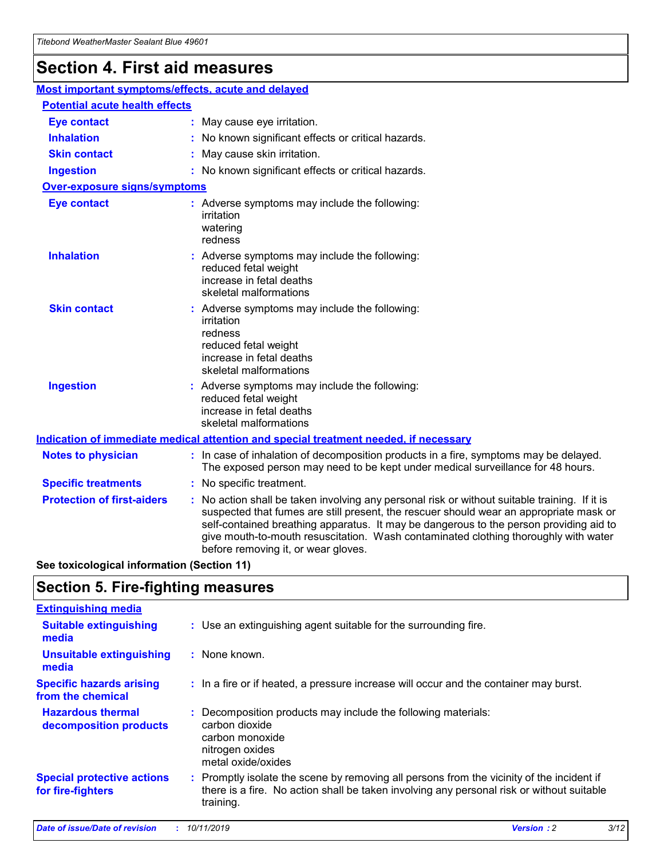## **Section 4. First aid measures**

| Most important symptoms/effects, acute and delayed |                                                                                                                                                                                                                                                                                                                                                                                                                 |
|----------------------------------------------------|-----------------------------------------------------------------------------------------------------------------------------------------------------------------------------------------------------------------------------------------------------------------------------------------------------------------------------------------------------------------------------------------------------------------|
| <b>Potential acute health effects</b>              |                                                                                                                                                                                                                                                                                                                                                                                                                 |
| <b>Eye contact</b>                                 | : May cause eye irritation.                                                                                                                                                                                                                                                                                                                                                                                     |
| <b>Inhalation</b>                                  | : No known significant effects or critical hazards.                                                                                                                                                                                                                                                                                                                                                             |
| <b>Skin contact</b>                                | : May cause skin irritation.                                                                                                                                                                                                                                                                                                                                                                                    |
| <b>Ingestion</b>                                   | : No known significant effects or critical hazards.                                                                                                                                                                                                                                                                                                                                                             |
| <b>Over-exposure signs/symptoms</b>                |                                                                                                                                                                                                                                                                                                                                                                                                                 |
| <b>Eye contact</b>                                 | : Adverse symptoms may include the following:<br>irritation<br>watering<br>redness                                                                                                                                                                                                                                                                                                                              |
| <b>Inhalation</b>                                  | : Adverse symptoms may include the following:<br>reduced fetal weight<br>increase in fetal deaths<br>skeletal malformations                                                                                                                                                                                                                                                                                     |
| <b>Skin contact</b>                                | : Adverse symptoms may include the following:<br>irritation<br>redness<br>reduced fetal weight<br>increase in fetal deaths<br>skeletal malformations                                                                                                                                                                                                                                                            |
| <b>Ingestion</b>                                   | : Adverse symptoms may include the following:<br>reduced fetal weight<br>increase in fetal deaths<br>skeletal malformations                                                                                                                                                                                                                                                                                     |
|                                                    | <b>Indication of immediate medical attention and special treatment needed, if necessary</b>                                                                                                                                                                                                                                                                                                                     |
| <b>Notes to physician</b>                          | : In case of inhalation of decomposition products in a fire, symptoms may be delayed.<br>The exposed person may need to be kept under medical surveillance for 48 hours.                                                                                                                                                                                                                                        |
| <b>Specific treatments</b>                         | : No specific treatment.                                                                                                                                                                                                                                                                                                                                                                                        |
| <b>Protection of first-aiders</b>                  | : No action shall be taken involving any personal risk or without suitable training. If it is<br>suspected that fumes are still present, the rescuer should wear an appropriate mask or<br>self-contained breathing apparatus. It may be dangerous to the person providing aid to<br>give mouth-to-mouth resuscitation. Wash contaminated clothing thoroughly with water<br>before removing it, or wear gloves. |

**See toxicological information (Section 11)**

### **Section 5. Fire-fighting measures**

| <b>Extinguishing media</b>                             |                                                                                                                                                                                                     |
|--------------------------------------------------------|-----------------------------------------------------------------------------------------------------------------------------------------------------------------------------------------------------|
| <b>Suitable extinguishing</b><br>media                 | : Use an extinguishing agent suitable for the surrounding fire.                                                                                                                                     |
| <b>Unsuitable extinguishing</b><br>media               | $:$ None known.                                                                                                                                                                                     |
| <b>Specific hazards arising</b><br>from the chemical   | : In a fire or if heated, a pressure increase will occur and the container may burst.                                                                                                               |
| <b>Hazardous thermal</b><br>decomposition products     | : Decomposition products may include the following materials:<br>carbon dioxide<br>carbon monoxide<br>nitrogen oxides<br>metal oxide/oxides                                                         |
| <b>Special protective actions</b><br>for fire-fighters | : Promptly isolate the scene by removing all persons from the vicinity of the incident if<br>there is a fire. No action shall be taken involving any personal risk or without suitable<br>training. |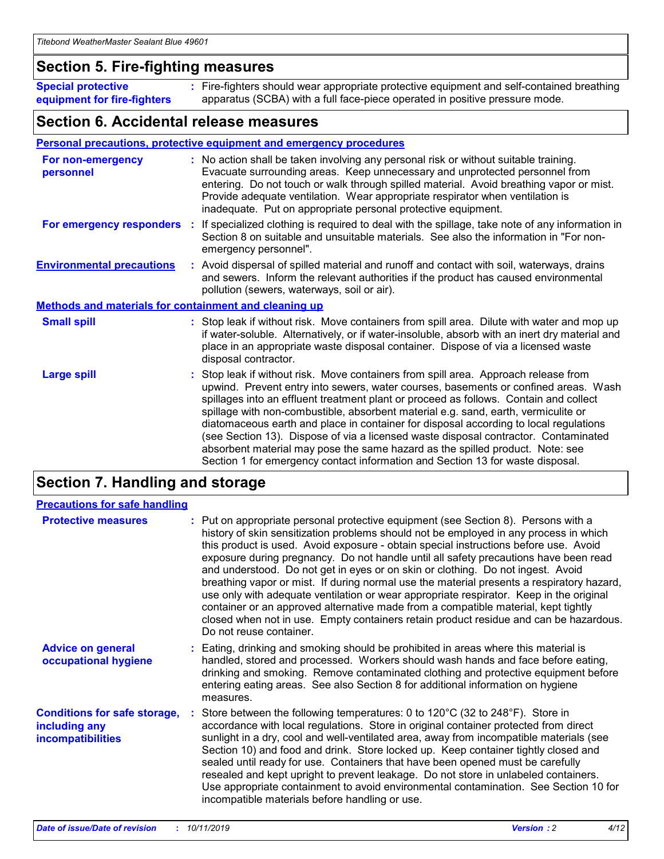### **Section 5. Fire-fighting measures**

**Special protective equipment for fire-fighters** Fire-fighters should wear appropriate protective equipment and self-contained breathing **:** apparatus (SCBA) with a full face-piece operated in positive pressure mode.

### **Section 6. Accidental release measures**

#### **Personal precautions, protective equipment and emergency procedures**

| For non-emergency<br>personnel                               |  | : No action shall be taken involving any personal risk or without suitable training.<br>Evacuate surrounding areas. Keep unnecessary and unprotected personnel from<br>entering. Do not touch or walk through spilled material. Avoid breathing vapor or mist.<br>Provide adequate ventilation. Wear appropriate respirator when ventilation is<br>inadequate. Put on appropriate personal protective equipment.                                                                                                                                                                                                                                                                                             |  |
|--------------------------------------------------------------|--|--------------------------------------------------------------------------------------------------------------------------------------------------------------------------------------------------------------------------------------------------------------------------------------------------------------------------------------------------------------------------------------------------------------------------------------------------------------------------------------------------------------------------------------------------------------------------------------------------------------------------------------------------------------------------------------------------------------|--|
|                                                              |  | For emergency responders : If specialized clothing is required to deal with the spillage, take note of any information in<br>Section 8 on suitable and unsuitable materials. See also the information in "For non-<br>emergency personnel".                                                                                                                                                                                                                                                                                                                                                                                                                                                                  |  |
| <b>Environmental precautions</b>                             |  | : Avoid dispersal of spilled material and runoff and contact with soil, waterways, drains<br>and sewers. Inform the relevant authorities if the product has caused environmental<br>pollution (sewers, waterways, soil or air).                                                                                                                                                                                                                                                                                                                                                                                                                                                                              |  |
| <b>Methods and materials for containment and cleaning up</b> |  |                                                                                                                                                                                                                                                                                                                                                                                                                                                                                                                                                                                                                                                                                                              |  |
| <b>Small spill</b>                                           |  | : Stop leak if without risk. Move containers from spill area. Dilute with water and mop up<br>if water-soluble. Alternatively, or if water-insoluble, absorb with an inert dry material and<br>place in an appropriate waste disposal container. Dispose of via a licensed waste<br>disposal contractor.                                                                                                                                                                                                                                                                                                                                                                                                     |  |
| <b>Large spill</b>                                           |  | : Stop leak if without risk. Move containers from spill area. Approach release from<br>upwind. Prevent entry into sewers, water courses, basements or confined areas. Wash<br>spillages into an effluent treatment plant or proceed as follows. Contain and collect<br>spillage with non-combustible, absorbent material e.g. sand, earth, vermiculite or<br>diatomaceous earth and place in container for disposal according to local regulations<br>(see Section 13). Dispose of via a licensed waste disposal contractor. Contaminated<br>absorbent material may pose the same hazard as the spilled product. Note: see<br>Section 1 for emergency contact information and Section 13 for waste disposal. |  |

### **Section 7. Handling and storage**

| <b>Precautions for safe handling</b>                                             |                                                                                                                                                                                                                                                                                                                                                                                                                                                                                                                                                                                                                                                                                                                                                                                                                                                  |
|----------------------------------------------------------------------------------|--------------------------------------------------------------------------------------------------------------------------------------------------------------------------------------------------------------------------------------------------------------------------------------------------------------------------------------------------------------------------------------------------------------------------------------------------------------------------------------------------------------------------------------------------------------------------------------------------------------------------------------------------------------------------------------------------------------------------------------------------------------------------------------------------------------------------------------------------|
| <b>Protective measures</b>                                                       | : Put on appropriate personal protective equipment (see Section 8). Persons with a<br>history of skin sensitization problems should not be employed in any process in which<br>this product is used. Avoid exposure - obtain special instructions before use. Avoid<br>exposure during pregnancy. Do not handle until all safety precautions have been read<br>and understood. Do not get in eyes or on skin or clothing. Do not ingest. Avoid<br>breathing vapor or mist. If during normal use the material presents a respiratory hazard,<br>use only with adequate ventilation or wear appropriate respirator. Keep in the original<br>container or an approved alternative made from a compatible material, kept tightly<br>closed when not in use. Empty containers retain product residue and can be hazardous.<br>Do not reuse container. |
| <b>Advice on general</b><br>occupational hygiene                                 | : Eating, drinking and smoking should be prohibited in areas where this material is<br>handled, stored and processed. Workers should wash hands and face before eating,<br>drinking and smoking. Remove contaminated clothing and protective equipment before<br>entering eating areas. See also Section 8 for additional information on hygiene<br>measures.                                                                                                                                                                                                                                                                                                                                                                                                                                                                                    |
| <b>Conditions for safe storage,</b><br>including any<br><b>incompatibilities</b> | Store between the following temperatures: 0 to $120^{\circ}$ C (32 to $248^{\circ}$ F). Store in<br>accordance with local regulations. Store in original container protected from direct<br>sunlight in a dry, cool and well-ventilated area, away from incompatible materials (see<br>Section 10) and food and drink. Store locked up. Keep container tightly closed and<br>sealed until ready for use. Containers that have been opened must be carefully<br>resealed and kept upright to prevent leakage. Do not store in unlabeled containers.<br>Use appropriate containment to avoid environmental contamination. See Section 10 for<br>incompatible materials before handling or use.                                                                                                                                                     |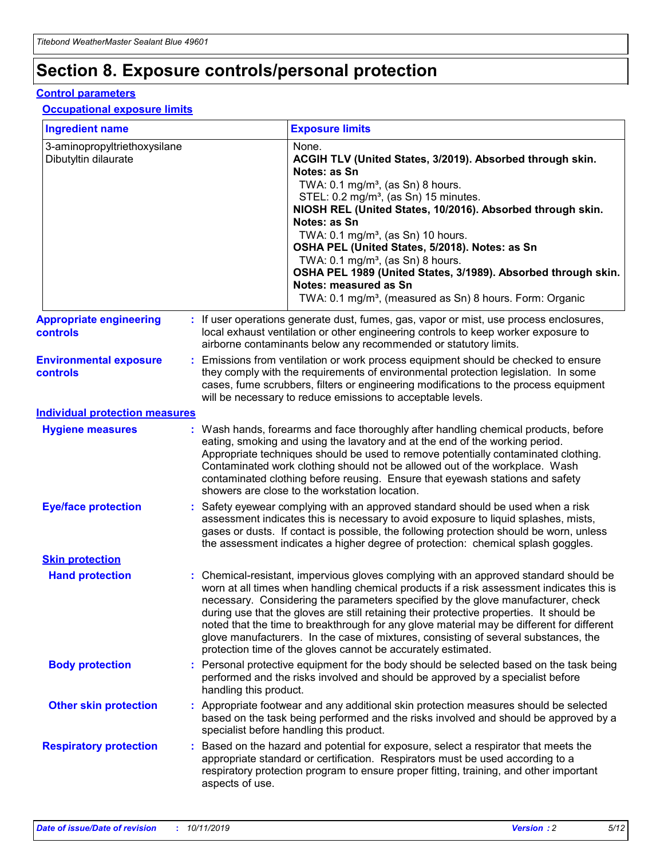## **Section 8. Exposure controls/personal protection**

#### **Control parameters**

#### **Occupational exposure limits**

| <b>Ingredient name</b>                               |    |                                          | <b>Exposure limits</b>                                                                                                                                                                                                                                                                                                                                                                                                                                                                                                                                                                                                 |
|------------------------------------------------------|----|------------------------------------------|------------------------------------------------------------------------------------------------------------------------------------------------------------------------------------------------------------------------------------------------------------------------------------------------------------------------------------------------------------------------------------------------------------------------------------------------------------------------------------------------------------------------------------------------------------------------------------------------------------------------|
| 3-aminopropyltriethoxysilane<br>Dibutyltin dilaurate |    |                                          | None.<br>ACGIH TLV (United States, 3/2019). Absorbed through skin.<br>Notes: as Sn<br>TWA: 0.1 mg/m <sup>3</sup> , (as Sn) 8 hours.<br>STEL: 0.2 mg/m <sup>3</sup> , (as Sn) 15 minutes.<br>NIOSH REL (United States, 10/2016). Absorbed through skin.<br>Notes: as Sn<br>TWA: 0.1 mg/m <sup>3</sup> , (as Sn) 10 hours.<br>OSHA PEL (United States, 5/2018). Notes: as Sn<br>TWA: $0.1 \text{ mg/m}^3$ , (as Sn) 8 hours.<br>OSHA PEL 1989 (United States, 3/1989). Absorbed through skin.<br>Notes: measured as Sn<br>TWA: 0.1 mg/m <sup>3</sup> , (measured as Sn) 8 hours. Form: Organic                           |
| <b>Appropriate engineering</b><br>controls           |    |                                          | : If user operations generate dust, fumes, gas, vapor or mist, use process enclosures,<br>local exhaust ventilation or other engineering controls to keep worker exposure to<br>airborne contaminants below any recommended or statutory limits.                                                                                                                                                                                                                                                                                                                                                                       |
| <b>Environmental exposure</b><br><b>controls</b>     |    |                                          | Emissions from ventilation or work process equipment should be checked to ensure<br>they comply with the requirements of environmental protection legislation. In some<br>cases, fume scrubbers, filters or engineering modifications to the process equipment<br>will be necessary to reduce emissions to acceptable levels.                                                                                                                                                                                                                                                                                          |
| <b>Individual protection measures</b>                |    |                                          |                                                                                                                                                                                                                                                                                                                                                                                                                                                                                                                                                                                                                        |
| <b>Hygiene measures</b>                              |    |                                          | : Wash hands, forearms and face thoroughly after handling chemical products, before<br>eating, smoking and using the lavatory and at the end of the working period.<br>Appropriate techniques should be used to remove potentially contaminated clothing.<br>Contaminated work clothing should not be allowed out of the workplace. Wash<br>contaminated clothing before reusing. Ensure that eyewash stations and safety<br>showers are close to the workstation location.                                                                                                                                            |
| <b>Eye/face protection</b>                           |    |                                          | : Safety eyewear complying with an approved standard should be used when a risk<br>assessment indicates this is necessary to avoid exposure to liquid splashes, mists,<br>gases or dusts. If contact is possible, the following protection should be worn, unless<br>the assessment indicates a higher degree of protection: chemical splash goggles.                                                                                                                                                                                                                                                                  |
| <b>Skin protection</b>                               |    |                                          |                                                                                                                                                                                                                                                                                                                                                                                                                                                                                                                                                                                                                        |
| <b>Hand protection</b>                               |    |                                          | : Chemical-resistant, impervious gloves complying with an approved standard should be<br>worn at all times when handling chemical products if a risk assessment indicates this is<br>necessary. Considering the parameters specified by the glove manufacturer, check<br>during use that the gloves are still retaining their protective properties. It should be<br>noted that the time to breakthrough for any glove material may be different for different<br>glove manufacturers. In the case of mixtures, consisting of several substances, the<br>protection time of the gloves cannot be accurately estimated. |
| <b>Body protection</b>                               |    | handling this product.                   | Personal protective equipment for the body should be selected based on the task being<br>performed and the risks involved and should be approved by a specialist before                                                                                                                                                                                                                                                                                                                                                                                                                                                |
| <b>Other skin protection</b>                         |    | specialist before handling this product. | : Appropriate footwear and any additional skin protection measures should be selected<br>based on the task being performed and the risks involved and should be approved by a                                                                                                                                                                                                                                                                                                                                                                                                                                          |
| <b>Respiratory protection</b>                        | ÷. | aspects of use.                          | Based on the hazard and potential for exposure, select a respirator that meets the<br>appropriate standard or certification. Respirators must be used according to a<br>respiratory protection program to ensure proper fitting, training, and other important                                                                                                                                                                                                                                                                                                                                                         |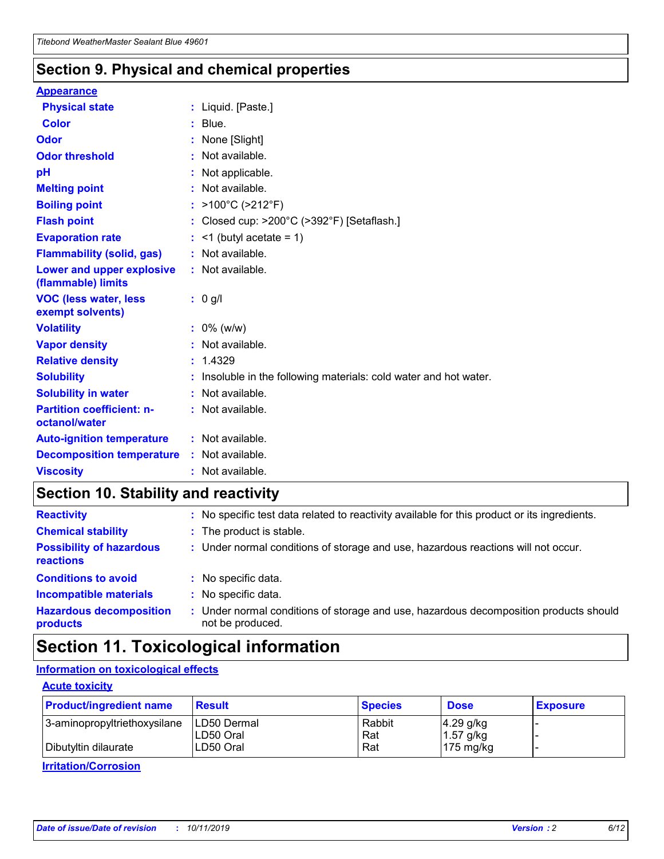### **Section 9. Physical and chemical properties**

#### **Appearance**

| <b>Physical state</b>                             | : Liquid. [Paste.]                                              |
|---------------------------------------------------|-----------------------------------------------------------------|
| <b>Color</b>                                      | $:$ Blue.                                                       |
| Odor                                              | : None [Slight]                                                 |
| <b>Odor threshold</b>                             | $:$ Not available.                                              |
| рH                                                | : Not applicable.                                               |
| <b>Melting point</b>                              | : Not available.                                                |
| <b>Boiling point</b>                              | : >100°C (>212°F)                                               |
| <b>Flash point</b>                                | : Closed cup: >200°C (>392°F) [Setaflash.]                      |
| <b>Evaporation rate</b>                           | $:$ <1 (butyl acetate = 1)                                      |
| <b>Flammability (solid, gas)</b>                  | : Not available.                                                |
| Lower and upper explosive<br>(flammable) limits   | : Not available.                                                |
| <b>VOC (less water, less</b><br>exempt solvents)  | $: 0$ g/l                                                       |
| <b>Volatility</b>                                 | $: 0\%$ (w/w)                                                   |
| <b>Vapor density</b>                              | : Not available.                                                |
| <b>Relative density</b>                           | : 1.4329                                                        |
| <b>Solubility</b>                                 | Insoluble in the following materials: cold water and hot water. |
| <b>Solubility in water</b>                        | : Not available.                                                |
| <b>Partition coefficient: n-</b><br>octanol/water | $:$ Not available.                                              |
| <b>Auto-ignition temperature</b>                  | $:$ Not available.                                              |
| <b>Decomposition temperature</b>                  | : Not available.                                                |
| <b>Viscosity</b>                                  | : Not available.                                                |

### **Section 10. Stability and reactivity**

| <b>Reactivity</b>                            | : No specific test data related to reactivity available for this product or its ingredients.            |
|----------------------------------------------|---------------------------------------------------------------------------------------------------------|
| <b>Chemical stability</b>                    | : The product is stable.                                                                                |
| <b>Possibility of hazardous</b><br>reactions | : Under normal conditions of storage and use, hazardous reactions will not occur.                       |
| <b>Conditions to avoid</b>                   | : No specific data.                                                                                     |
| <b>Incompatible materials</b>                | : No specific data.                                                                                     |
| <b>Hazardous decomposition</b><br>products   | Under normal conditions of storage and use, hazardous decomposition products should<br>not be produced. |

### **Section 11. Toxicological information**

### **Information on toxicological effects**

#### **Acute toxicity**

| <b>Product/ingredient name</b> | <b>Result</b>           | <b>Species</b> | <b>Dose</b>                | <b>Exposure</b> |
|--------------------------------|-------------------------|----------------|----------------------------|-----------------|
| 3-aminopropyltriethoxysilane   | <b>ILD50 Dermal</b>     | Rabbit         | 4.29 g/kg                  |                 |
| Dibutyltin dilaurate           | ILD50 Oral<br>LD50 Oral | Rat<br>Rat     | $1.57$ g/kg<br>175 $mg/kg$ |                 |
|                                |                         |                |                            |                 |

**Irritation/Corrosion**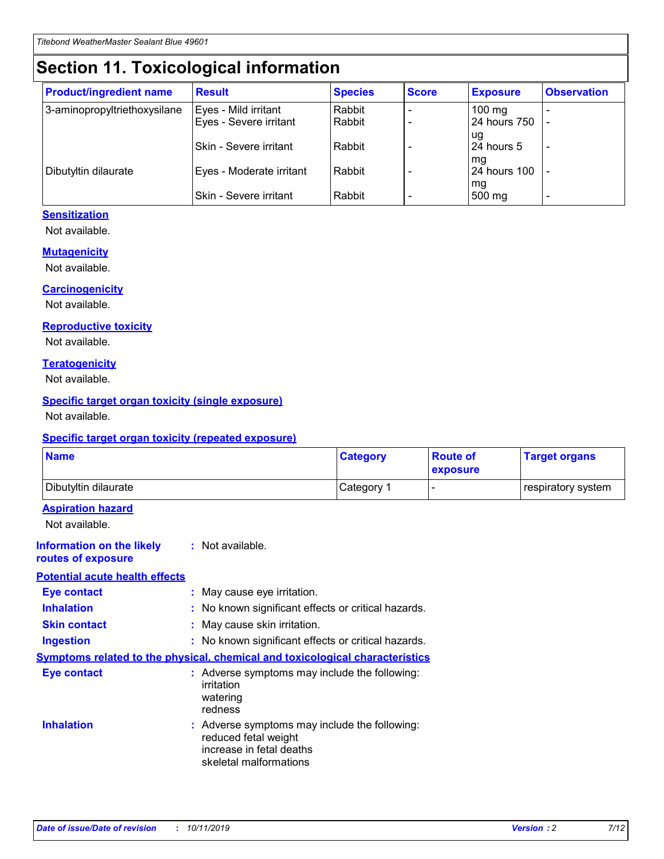## **Section 11. Toxicological information**

| <b>Product/ingredient name</b> | <b>Result</b>            | <b>Species</b> | <b>Score</b> | <b>Exposure</b>           | <b>Observation</b> |
|--------------------------------|--------------------------|----------------|--------------|---------------------------|--------------------|
| 3-aminopropyltriethoxysilane   | Eyes - Mild irritant     | Rabbit         |              | $100$ mg                  |                    |
|                                | Eyes - Severe irritant   | Rabbit         |              | 24 hours 750              |                    |
|                                |                          |                |              | ug                        |                    |
|                                | Skin - Severe irritant   | Rabbit         |              | 24 hours 5                | -                  |
| Dibutyltin dilaurate           | Eyes - Moderate irritant | Rabbit         |              | mq<br><b>24 hours 100</b> |                    |
|                                |                          |                |              | mg                        |                    |
|                                | Skin - Severe irritant   | Rabbit         |              | 500 mg                    |                    |

#### **Sensitization**

Not available.

#### **Mutagenicity**

Not available.

#### **Carcinogenicity**

Not available.

#### **Reproductive toxicity**

Not available.

#### **Teratogenicity**

Not available.

#### **Specific target organ toxicity (single exposure)**

Not available.

#### **Specific target organ toxicity (repeated exposure)**

| <b>Name</b>                                                                  |                                                                                                                             | <b>Category</b> | <b>Route of</b><br>exposure  | <b>Target organs</b> |
|------------------------------------------------------------------------------|-----------------------------------------------------------------------------------------------------------------------------|-----------------|------------------------------|----------------------|
| Dibutyltin dilaurate                                                         |                                                                                                                             | Category 1      | $\qquad \qquad \blacksquare$ | respiratory system   |
| <b>Aspiration hazard</b><br>Not available.                                   |                                                                                                                             |                 |                              |                      |
| <b>Information on the likely</b><br>routes of exposure                       | : Not available.                                                                                                            |                 |                              |                      |
| <b>Potential acute health effects</b>                                        |                                                                                                                             |                 |                              |                      |
| <b>Eye contact</b>                                                           | : May cause eye irritation.                                                                                                 |                 |                              |                      |
| <b>Inhalation</b>                                                            | : No known significant effects or critical hazards.                                                                         |                 |                              |                      |
| <b>Skin contact</b>                                                          | : May cause skin irritation.                                                                                                |                 |                              |                      |
| <b>Ingestion</b>                                                             | : No known significant effects or critical hazards.                                                                         |                 |                              |                      |
| Symptoms related to the physical, chemical and toxicological characteristics |                                                                                                                             |                 |                              |                      |
| <b>Eye contact</b>                                                           | : Adverse symptoms may include the following:<br>irritation<br>watering<br>redness                                          |                 |                              |                      |
| <b>Inhalation</b>                                                            | : Adverse symptoms may include the following:<br>reduced fetal weight<br>increase in fetal deaths<br>skeletal malformations |                 |                              |                      |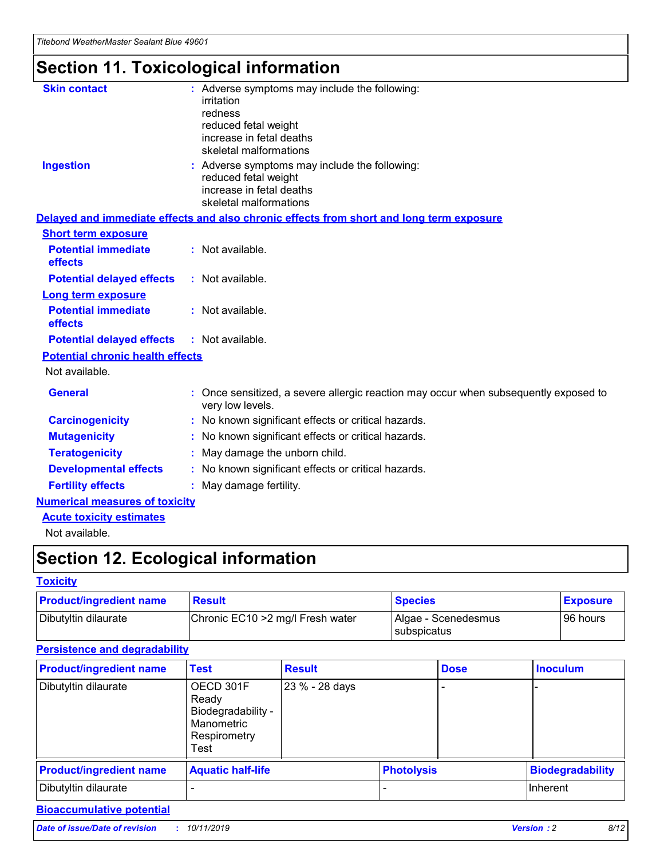## **Section 11. Toxicological information**

| <b>Skin contact</b>                     | : Adverse symptoms may include the following:<br>irritation<br>redness<br>reduced fetal weight<br>increase in fetal deaths<br>skeletal malformations |
|-----------------------------------------|------------------------------------------------------------------------------------------------------------------------------------------------------|
| <b>Ingestion</b>                        | : Adverse symptoms may include the following:<br>reduced fetal weight<br>increase in fetal deaths<br>skeletal malformations                          |
|                                         | Delayed and immediate effects and also chronic effects from short and long term exposure                                                             |
| <b>Short term exposure</b>              |                                                                                                                                                      |
| <b>Potential immediate</b><br>effects   | : Not available.                                                                                                                                     |
| <b>Potential delayed effects</b>        | : Not available.                                                                                                                                     |
| <b>Long term exposure</b>               |                                                                                                                                                      |
| <b>Potential immediate</b><br>effects   | : Not available.                                                                                                                                     |
| <b>Potential delayed effects</b>        | : Not available.                                                                                                                                     |
| <b>Potential chronic health effects</b> |                                                                                                                                                      |
| Not available.                          |                                                                                                                                                      |
| <b>General</b>                          | : Once sensitized, a severe allergic reaction may occur when subsequently exposed to<br>very low levels.                                             |
| <b>Carcinogenicity</b>                  | : No known significant effects or critical hazards.                                                                                                  |
| <b>Mutagenicity</b>                     | No known significant effects or critical hazards.                                                                                                    |
| <b>Teratogenicity</b>                   | May damage the unborn child.                                                                                                                         |
| <b>Developmental effects</b>            | No known significant effects or critical hazards.                                                                                                    |
| <b>Fertility effects</b>                | : May damage fertility.                                                                                                                              |
| <b>Numerical measures of toxicity</b>   |                                                                                                                                                      |
| <b>Acute toxicity estimates</b>         |                                                                                                                                                      |
|                                         |                                                                                                                                                      |

Not available.

## **Section 12. Ecological information**

#### **Toxicity**

| <b>Product/ingredient name</b> | <b>Result</b>                     | <b>Species</b>                       | <b>Exposure</b> |
|--------------------------------|-----------------------------------|--------------------------------------|-----------------|
| Dibutyltin dilaurate           | Chronic EC10 > 2 mg/l Fresh water | Algae - Scenedesmus<br>I subspicatus | l 96 hours i    |

### **Persistence and degradability**

| <b>Product/ingredient name</b> | <b>Test</b>                                                                    | <b>Result</b>  |  | <b>Dose</b>       | <b>Inoculum</b>         |
|--------------------------------|--------------------------------------------------------------------------------|----------------|--|-------------------|-------------------------|
| Dibutyltin dilaurate           | OECD 301F<br>Ready<br>Biodegradability -<br>Manometric<br>Respirometry<br>Test | 23 % - 28 days |  |                   |                         |
| <b>Product/ingredient name</b> | <b>Aquatic half-life</b>                                                       |                |  | <b>Photolysis</b> | <b>Biodegradability</b> |
| Dibutyltin dilaurate           |                                                                                |                |  |                   | Inherent                |

### **Bioaccumulative potential**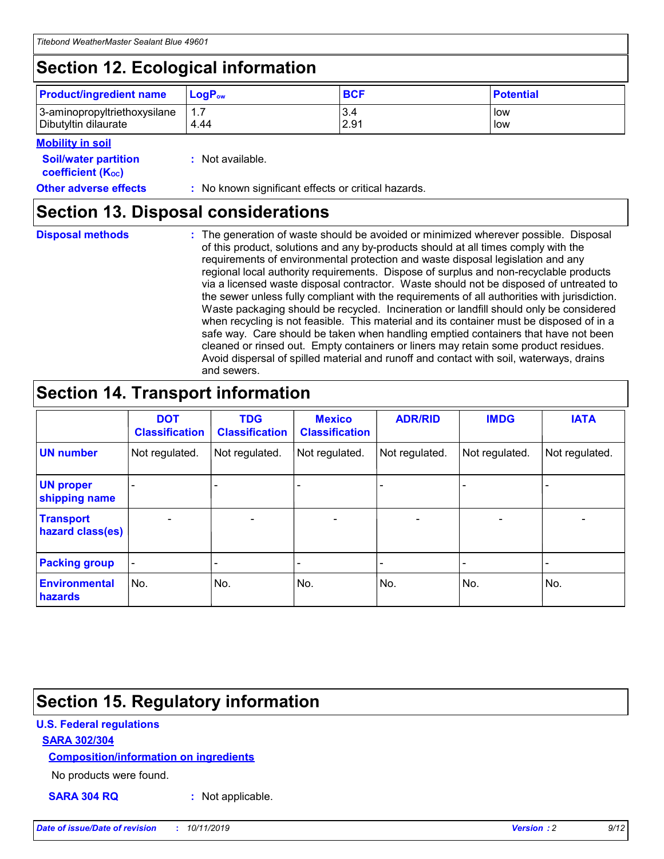## **Section 12. Ecological information**

| <b>Product/ingredient name</b> | $LoaPow$ | <b>BCF</b> | <b>Potential</b> |
|--------------------------------|----------|------------|------------------|
| 3-aminopropyltriethoxysilane   | 1.7      | 3.4        | low              |
| Dibutyltin dilaurate           | 4.44     | 2.91       | low              |

#### **Mobility in soil**

| <b>Soil/water partition</b><br>coefficient (K <sub>oc</sub> ) | : Not available.                                    |
|---------------------------------------------------------------|-----------------------------------------------------|
| <b>Other adverse effects</b>                                  | : No known significant effects or critical hazards. |

### **Section 13. Disposal considerations**

**Disposal methods :**

The generation of waste should be avoided or minimized wherever possible. Disposal of this product, solutions and any by-products should at all times comply with the requirements of environmental protection and waste disposal legislation and any regional local authority requirements. Dispose of surplus and non-recyclable products via a licensed waste disposal contractor. Waste should not be disposed of untreated to the sewer unless fully compliant with the requirements of all authorities with jurisdiction. Waste packaging should be recycled. Incineration or landfill should only be considered when recycling is not feasible. This material and its container must be disposed of in a safe way. Care should be taken when handling emptied containers that have not been cleaned or rinsed out. Empty containers or liners may retain some product residues. Avoid dispersal of spilled material and runoff and contact with soil, waterways, drains and sewers.

## **Section 14. Transport information**

|                                      | <b>DOT</b><br><b>Classification</b> | <b>TDG</b><br><b>Classification</b> | <b>Mexico</b><br><b>Classification</b> | <b>ADR/RID</b>           | <b>IMDG</b>              | <b>IATA</b>              |
|--------------------------------------|-------------------------------------|-------------------------------------|----------------------------------------|--------------------------|--------------------------|--------------------------|
| <b>UN number</b>                     | Not regulated.                      | Not regulated.                      | Not regulated.                         | Not regulated.           | Not regulated.           | Not regulated.           |
| <b>UN proper</b><br>shipping name    | $\qquad \qquad \blacksquare$        |                                     |                                        |                          |                          |                          |
| <b>Transport</b><br>hazard class(es) | $\blacksquare$                      | $\blacksquare$                      | $\blacksquare$                         | $\overline{\phantom{a}}$ | $\blacksquare$           | $\blacksquare$           |
| <b>Packing group</b>                 | $\overline{\phantom{a}}$            | $\overline{\phantom{0}}$            | $\qquad \qquad \blacksquare$           | -                        | $\overline{\phantom{0}}$ | $\overline{\phantom{a}}$ |
| <b>Environmental</b><br>hazards      | No.                                 | No.                                 | No.                                    | No.                      | No.                      | No.                      |

## **Section 15. Regulatory information**

#### **U.S. Federal regulations**

#### **SARA 302/304**

#### **Composition/information on ingredients**

No products were found.

**SARA 304 RQ :** Not applicable.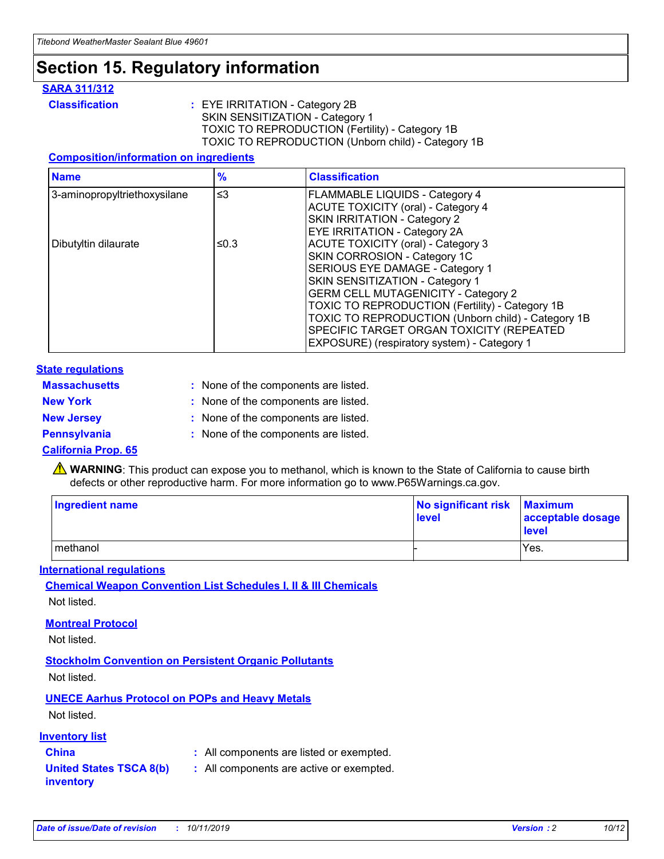## **Section 15. Regulatory information**

#### **SARA 311/312**

**Classification :** EYE IRRITATION - Category 2B SKIN SENSITIZATION - Category 1 TOXIC TO REPRODUCTION (Fertility) - Category 1B TOXIC TO REPRODUCTION (Unborn child) - Category 1B

#### **Composition/information on ingredients**

| <b>Name</b>                  | $\frac{9}{6}$ | <b>Classification</b>                                  |
|------------------------------|---------------|--------------------------------------------------------|
| 3-aminopropyltriethoxysilane | $\leq$ 3      | <b>FLAMMABLE LIQUIDS - Category 4</b>                  |
|                              |               | <b>ACUTE TOXICITY (oral) - Category 4</b>              |
|                              |               | SKIN IRRITATION - Category 2                           |
|                              |               | EYE IRRITATION - Category 2A                           |
| Dibutyltin dilaurate         | ≤0.3          | <b>ACUTE TOXICITY (oral) - Category 3</b>              |
|                              |               | SKIN CORROSION - Category 1C                           |
|                              |               | SERIOUS EYE DAMAGE - Category 1                        |
|                              |               | SKIN SENSITIZATION - Category 1                        |
|                              |               | <b>GERM CELL MUTAGENICITY - Category 2</b>             |
|                              |               | <b>TOXIC TO REPRODUCTION (Fertility) - Category 1B</b> |
|                              |               | TOXIC TO REPRODUCTION (Unborn child) - Category 1B     |
|                              |               | SPECIFIC TARGET ORGAN TOXICITY (REPEATED               |
|                              |               | EXPOSURE) (respiratory system) - Category 1            |

#### **State regulations**

| <b>Massachusetts</b> | : None of the components are listed. |
|----------------------|--------------------------------------|
| <b>New York</b>      | : None of the components are listed. |
| <b>New Jersey</b>    | : None of the components are listed. |
| <b>Pennsylvania</b>  | : None of the components are listed. |

#### **California Prop. 65**

**A** WARNING: This product can expose you to methanol, which is known to the State of California to cause birth defects or other reproductive harm. For more information go to www.P65Warnings.ca.gov.

| <b>Ingredient name</b> | No significant risk Maximum<br>level | acceptable dosage<br>level |
|------------------------|--------------------------------------|----------------------------|
| methanol               |                                      | Yes.                       |

#### **International regulations**

**Chemical Weapon Convention List Schedules I, II & III Chemicals** Not listed.

#### **Montreal Protocol**

Not listed.

**Stockholm Convention on Persistent Organic Pollutants**

Not listed.

### **UNECE Aarhus Protocol on POPs and Heavy Metals**

Not listed.

#### **Inventory list**

### **China :** All components are listed or exempted.

**United States TSCA 8(b) inventory :** All components are active or exempted.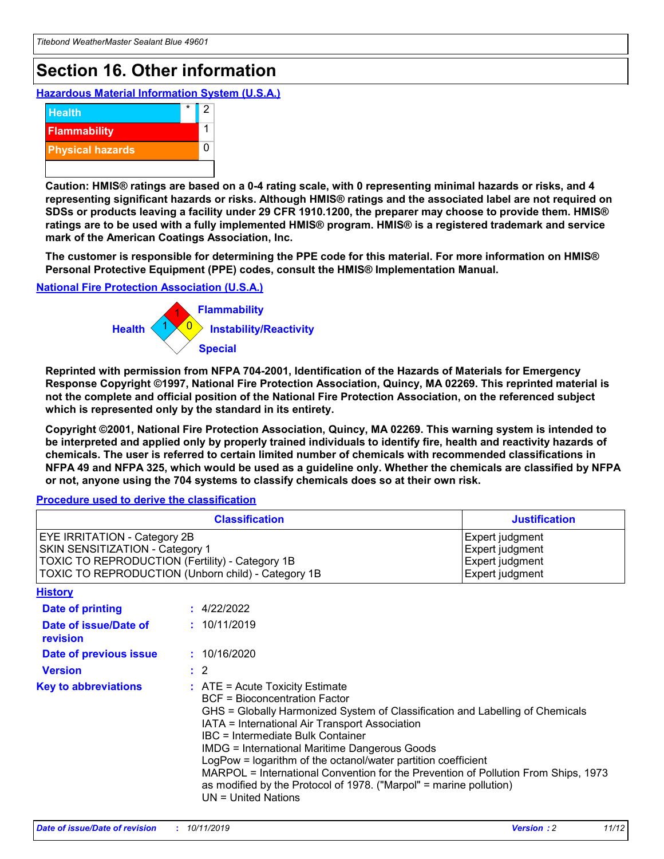## **Section 16. Other information**

**Hazardous Material Information System (U.S.A.)**



**Caution: HMIS® ratings are based on a 0-4 rating scale, with 0 representing minimal hazards or risks, and 4 representing significant hazards or risks. Although HMIS® ratings and the associated label are not required on SDSs or products leaving a facility under 29 CFR 1910.1200, the preparer may choose to provide them. HMIS® ratings are to be used with a fully implemented HMIS® program. HMIS® is a registered trademark and service mark of the American Coatings Association, Inc.**

**The customer is responsible for determining the PPE code for this material. For more information on HMIS® Personal Protective Equipment (PPE) codes, consult the HMIS® Implementation Manual.**

#### **National Fire Protection Association (U.S.A.)**



**Reprinted with permission from NFPA 704-2001, Identification of the Hazards of Materials for Emergency Response Copyright ©1997, National Fire Protection Association, Quincy, MA 02269. This reprinted material is not the complete and official position of the National Fire Protection Association, on the referenced subject which is represented only by the standard in its entirety.**

**Copyright ©2001, National Fire Protection Association, Quincy, MA 02269. This warning system is intended to be interpreted and applied only by properly trained individuals to identify fire, health and reactivity hazards of chemicals. The user is referred to certain limited number of chemicals with recommended classifications in NFPA 49 and NFPA 325, which would be used as a guideline only. Whether the chemicals are classified by NFPA or not, anyone using the 704 systems to classify chemicals does so at their own risk.**

#### **Procedure used to derive the classification**

| <b>Classification</b>                                                                                                                                                                  |                                                                                                                                                                                                                                                                   | <b>Justification</b>                                                                                                                                                                                                                                                                                       |  |
|----------------------------------------------------------------------------------------------------------------------------------------------------------------------------------------|-------------------------------------------------------------------------------------------------------------------------------------------------------------------------------------------------------------------------------------------------------------------|------------------------------------------------------------------------------------------------------------------------------------------------------------------------------------------------------------------------------------------------------------------------------------------------------------|--|
| <b>EYE IRRITATION - Category 2B</b><br>SKIN SENSITIZATION - Category 1<br><b>TOXIC TO REPRODUCTION (Fertility) - Category 1B</b><br>TOXIC TO REPRODUCTION (Unborn child) - Category 1B |                                                                                                                                                                                                                                                                   | Expert judgment<br>Expert judgment<br>Expert judgment<br>Expert judgment                                                                                                                                                                                                                                   |  |
| <b>History</b>                                                                                                                                                                         |                                                                                                                                                                                                                                                                   |                                                                                                                                                                                                                                                                                                            |  |
| <b>Date of printing</b>                                                                                                                                                                | : 4/22/2022                                                                                                                                                                                                                                                       |                                                                                                                                                                                                                                                                                                            |  |
| Date of issue/Date of<br>revision                                                                                                                                                      | : 10/11/2019                                                                                                                                                                                                                                                      |                                                                                                                                                                                                                                                                                                            |  |
| Date of previous issue                                                                                                                                                                 | : 10/16/2020                                                                                                                                                                                                                                                      |                                                                                                                                                                                                                                                                                                            |  |
| <b>Version</b>                                                                                                                                                                         | $\therefore$ 2                                                                                                                                                                                                                                                    |                                                                                                                                                                                                                                                                                                            |  |
| <b>Key to abbreviations</b>                                                                                                                                                            | $\therefore$ ATE = Acute Toxicity Estimate<br><b>BCF</b> = Bioconcentration Factor<br>IATA = International Air Transport Association<br><b>IBC</b> = Intermediate Bulk Container<br><b>IMDG = International Maritime Dangerous Goods</b><br>$UN = United Nations$ | GHS = Globally Harmonized System of Classification and Labelling of Chemicals<br>LogPow = logarithm of the octanol/water partition coefficient<br>MARPOL = International Convention for the Prevention of Pollution From Ships, 1973<br>as modified by the Protocol of 1978. ("Marpol" = marine pollution) |  |